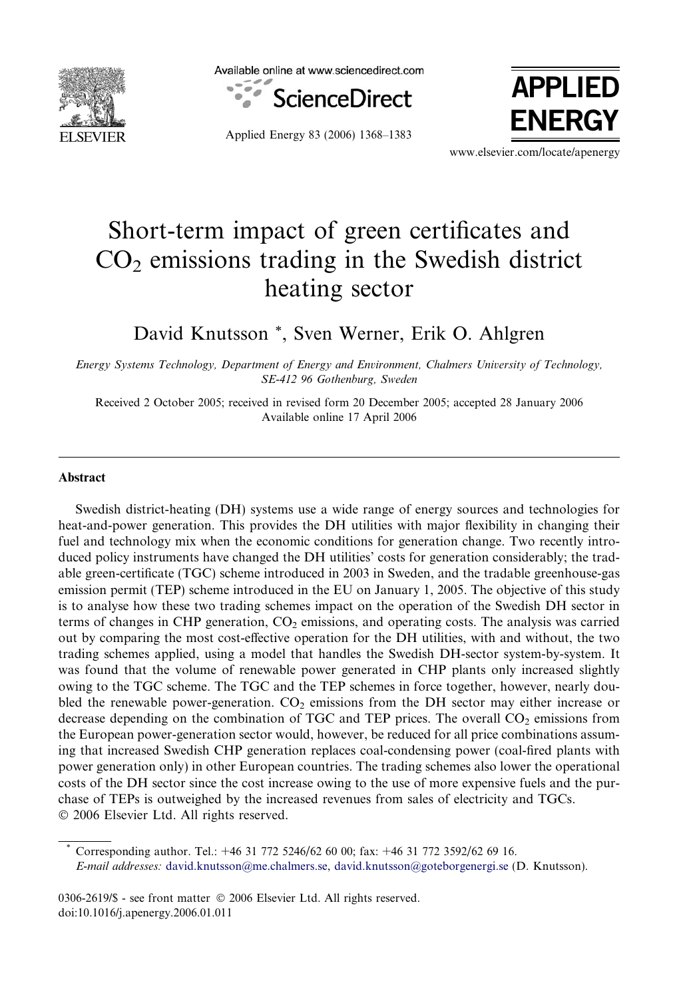

Available online at www.sciencedirect.com



Applied Energy 83 (2006) 1368–1383



www.elsevier.com/locate/apenergy

## Short-term impact of green certificates and  $CO<sub>2</sub>$  emissions trading in the Swedish district heating sector

David Knutsson \*, Sven Werner, Erik O. Ahlgren

Energy Systems Technology, Department of Energy and Environment, Chalmers University of Technology, SE-412 96 Gothenburg, Sweden

Received 2 October 2005; received in revised form 20 December 2005; accepted 28 January 2006 Available online 17 April 2006

## Abstract

Swedish district-heating (DH) systems use a wide range of energy sources and technologies for heat-and-power generation. This provides the DH utilities with major flexibility in changing their fuel and technology mix when the economic conditions for generation change. Two recently introduced policy instruments have changed the DH utilities' costs for generation considerably; the tradable green-certificate (TGC) scheme introduced in 2003 in Sweden, and the tradable greenhouse-gas emission permit (TEP) scheme introduced in the EU on January 1, 2005. The objective of this study is to analyse how these two trading schemes impact on the operation of the Swedish DH sector in terms of changes in CHP generation,  $CO<sub>2</sub>$  emissions, and operating costs. The analysis was carried out by comparing the most cost-effective operation for the DH utilities, with and without, the two trading schemes applied, using a model that handles the Swedish DH-sector system-by-system. It was found that the volume of renewable power generated in CHP plants only increased slightly owing to the TGC scheme. The TGC and the TEP schemes in force together, however, nearly doubled the renewable power-generation.  $CO<sub>2</sub>$  emissions from the DH sector may either increase or decrease depending on the combination of TGC and TEP prices. The overall  $CO<sub>2</sub>$  emissions from the European power-generation sector would, however, be reduced for all price combinations assuming that increased Swedish CHP generation replaces coal-condensing power (coal-fired plants with power generation only) in other European countries. The trading schemes also lower the operational costs of the DH sector since the cost increase owing to the use of more expensive fuels and the purchase of TEPs is outweighed by the increased revenues from sales of electricity and TGCs.  $© 2006 Elsevier Ltd. All rights reserved.$ 

<sup>\*</sup> Corresponding author. Tel.: +46 31 772 5246/62 60 00; fax: +46 31 772 3592/62 69 16. E-mail addresses: [david.knutsson@me.chalmers.se](mailto:david.knutsson@me.chalmers.se), [david.knutsson@goteborgenergi.se](mailto:david.knutsson@goteborgenergi.se) (D. Knutsson).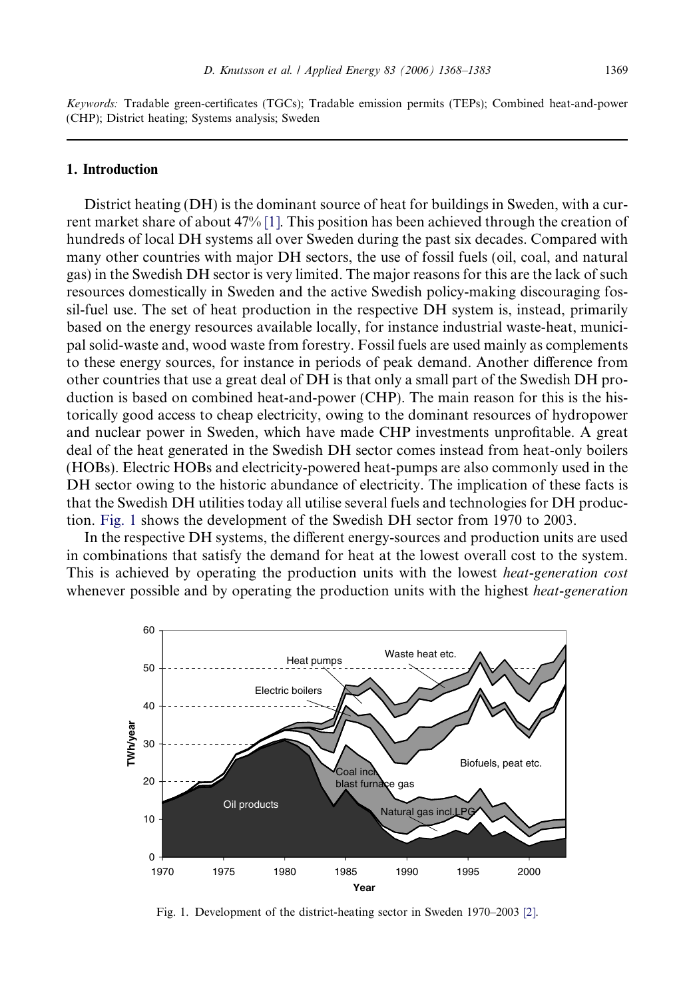Keywords: Tradable green-certificates (TGCs); Tradable emission permits (TEPs); Combined heat-and-power (CHP); District heating; Systems analysis; Sweden

## 1. Introduction

District heating (DH) is the dominant source of heat for buildings in Sweden, with a current market share of about 47% [\[1\].](#page--1-0) This position has been achieved through the creation of hundreds of local DH systems all over Sweden during the past six decades. Compared with many other countries with major DH sectors, the use of fossil fuels (oil, coal, and natural gas) in the Swedish DH sector is very limited. The major reasons for this are the lack of such resources domestically in Sweden and the active Swedish policy-making discouraging fossil-fuel use. The set of heat production in the respective DH system is, instead, primarily based on the energy resources available locally, for instance industrial waste-heat, municipal solid-waste and, wood waste from forestry. Fossil fuels are used mainly as complements to these energy sources, for instance in periods of peak demand. Another difference from other countries that use a great deal of DH is that only a small part of the Swedish DH production is based on combined heat-and-power (CHP). The main reason for this is the historically good access to cheap electricity, owing to the dominant resources of hydropower and nuclear power in Sweden, which have made CHP investments unprofitable. A great deal of the heat generated in the Swedish DH sector comes instead from heat-only boilers (HOBs). Electric HOBs and electricity-powered heat-pumps are also commonly used in the DH sector owing to the historic abundance of electricity. The implication of these facts is that the Swedish DH utilities today all utilise several fuels and technologies for DH production. Fig. 1 shows the development of the Swedish DH sector from 1970 to 2003.

In the respective DH systems, the different energy-sources and production units are used in combinations that satisfy the demand for heat at the lowest overall cost to the system. This is achieved by operating the production units with the lowest *heat-generation cost* whenever possible and by operating the production units with the highest *heat-generation* 



Fig. 1. Development of the district-heating sector in Sweden 1970–2003 [\[2\].](#page--1-0)